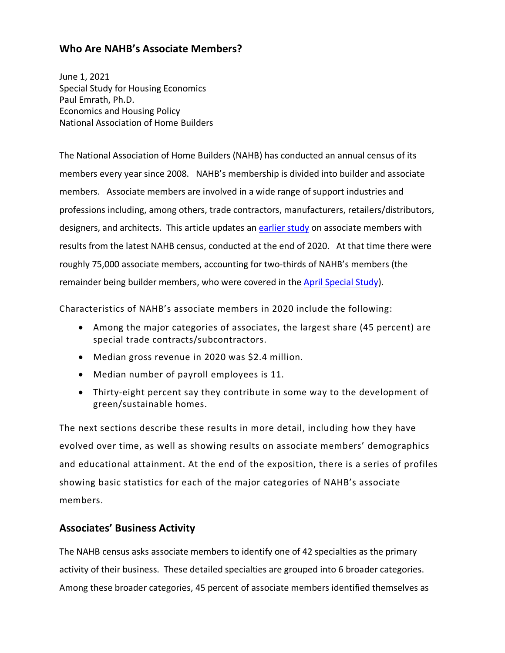### **Who Are NAHB's Associate Members?**

June 1, 2021 Special Study for Housing Economics Paul Emrath, Ph.D. Economics and Housing Policy National Association of Home Builders

The National Association of Home Builders (NAHB) has conducted an annual census of its members every year since 2008. NAHB's membership is divided into builder and associate members. Associate members are involved in a wide range of support industries and professions including, among others, trade contractors, manufacturers, retailers/distributors, designers, and architects. This article updates an [earlier study](https://www.nahb.org/-/media/20973E91AEDF4210ADA13EC475305FBF.ashx) on associate members with results from the latest NAHB census, conducted at the end of 2020. At that time there were roughly 75,000 associate members, accounting for two-thirds of NAHB's members (the remainder being builder members, who were covered in the [April Special Study\)](https://www.nahb.org/-/media/NAHB/news-and-economics/docs/housing-economics-plus/special-studies/2021/special-study-who-are-nahb-builder-members-april-2021.pdf).

Characteristics of NAHB's associate members in 2020 include the following:

- Among the major categories of associates, the largest share (45 percent) are special trade contracts/subcontractors.
- Median gross revenue in 2020 was \$2.4 million.
- Median number of payroll employees is 11.
- Thirty-eight percent say they contribute in some way to the development of green/sustainable homes.

The next sections describe these results in more detail, including how they have evolved over time, as well as showing results on associate members' demographics and educational attainment. At the end of the exposition, there is a series of profiles showing basic statistics for each of the major categories of NAHB's associate members.

### **Associates' Business Activity**

The NAHB census asks associate members to identify one of 42 specialties as the primary activity of their business. These detailed specialties are grouped into 6 broader categories. Among these broader categories, 45 percent of associate members identified themselves as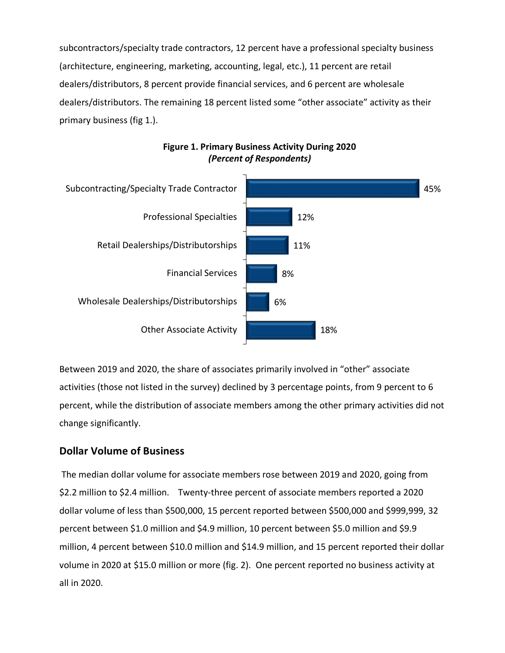subcontractors/specialty trade contractors, 12 percent have a professional specialty business (architecture, engineering, marketing, accounting, legal, etc.), 11 percent are retail dealers/distributors, 8 percent provide financial services, and 6 percent are wholesale dealers/distributors. The remaining 18 percent listed some "other associate" activity as their primary business (fig 1.).



#### **Figure 1. Primary Business Activity During 2020** *(Percent of Respondents)*

Between 2019 and 2020, the share of associates primarily involved in "other" associate activities (those not listed in the survey) declined by 3 percentage points, from 9 percent to 6 percent, while the distribution of associate members among the other primary activities did not change significantly.

### **Dollar Volume of Business**

The median dollar volume for associate members rose between 2019 and 2020, going from \$2.2 million to \$2.4 million. Twenty-three percent of associate members reported a 2020 dollar volume of less than \$500,000, 15 percent reported between \$500,000 and \$999,999, 32 percent between \$1.0 million and \$4.9 million, 10 percent between \$5.0 million and \$9.9 million, 4 percent between \$10.0 million and \$14.9 million, and 15 percent reported their dollar volume in 2020 at \$15.0 million or more (fig. 2). One percent reported no business activity at all in 2020.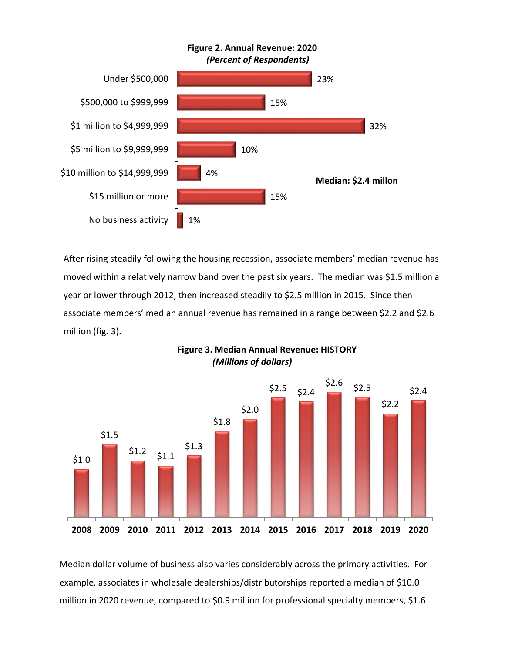

After rising steadily following the housing recession, associate members' median revenue has moved within a relatively narrow band over the past six years. The median was \$1.5 million a year or lower through 2012, then increased steadily to \$2.5 million in 2015. Since then associate members' median annual revenue has remained in a range between \$2.2 and \$2.6 million (fig. 3).



**Figure 3. Median Annual Revenue: HISTORY** *(Millions of dollars)*

Median dollar volume of business also varies considerably across the primary activities. For example, associates in wholesale dealerships/distributorships reported a median of \$10.0 million in 2020 revenue, compared to \$0.9 million for professional specialty members, \$1.6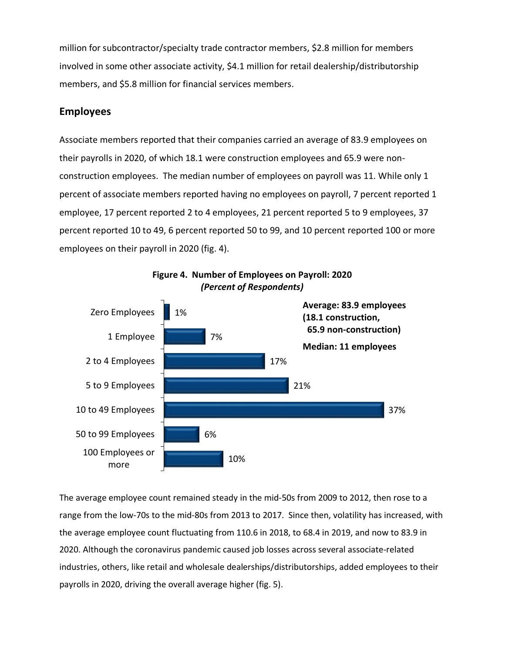million for subcontractor/specialty trade contractor members, \$2.8 million for members involved in some other associate activity, \$4.1 million for retail dealership/distributorship members, and \$5.8 million for financial services members.

#### **Employees**

Associate members reported that their companies carried an average of 83.9 employees on their payrolls in 2020, of which 18.1 were construction employees and 65.9 were nonconstruction employees. The median number of employees on payroll was 11. While only 1 percent of associate members reported having no employees on payroll, 7 percent reported 1 employee, 17 percent reported 2 to 4 employees, 21 percent reported 5 to 9 employees, 37 percent reported 10 to 49, 6 percent reported 50 to 99, and 10 percent reported 100 or more employees on their payroll in 2020 (fig. 4).



**Figure 4. Number of Employees on Payroll: 2020** *(Percent of Respondents)*

The average employee count remained steady in the mid-50s from 2009 to 2012, then rose to a range from the low-70s to the mid-80s from 2013 to 2017. Since then, volatility has increased, with the average employee count fluctuating from 110.6 in 2018, to 68.4 in 2019, and now to 83.9 in 2020. Although the coronavirus pandemic caused job losses across several associate-related industries, others, like retail and wholesale dealerships/distributorships, added employees to their payrolls in 2020, driving the overall average higher (fig. 5).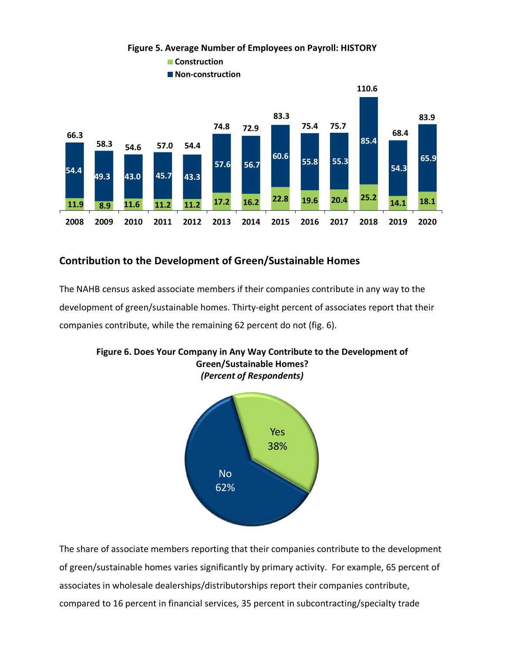

#### **Figure 5. Average Number of Employees on Payroll: HISTORY**

## **Contribution to the Development of Green/Sustainable Homes**

The NAHB census asked associate members if their companies contribute in any way to the development of green/sustainable homes. Thirty-eight percent of associates report that their companies contribute, while the remaining 62 percent do not (fig. 6).





The share of associate members reporting that their companies contribute to the development of green/sustainable homes varies significantly by primary activity. For example, 65 percent of associates in wholesale dealerships/distributorships report their companies contribute, compared to 16 percent in financial services, 35 percent in subcontracting/specialty trade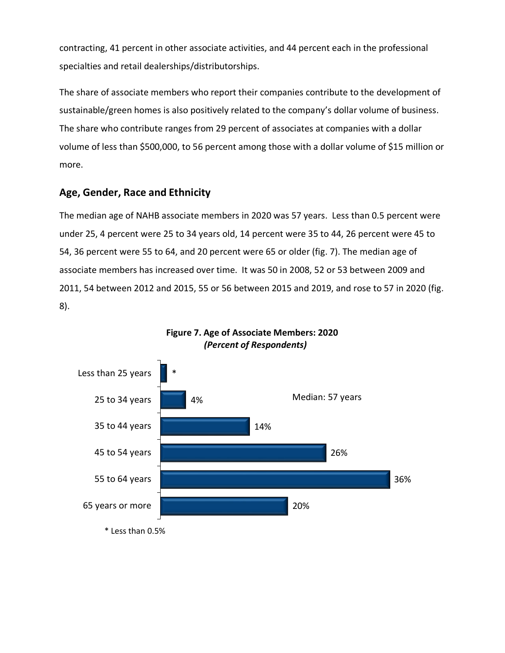contracting, 41 percent in other associate activities, and 44 percent each in the professional specialties and retail dealerships/distributorships.

The share of associate members who report their companies contribute to the development of sustainable/green homes is also positively related to the company's dollar volume of business. The share who contribute ranges from 29 percent of associates at companies with a dollar volume of less than \$500,000, to 56 percent among those with a dollar volume of \$15 million or more.

## **Age, Gender, Race and Ethnicity**

The median age of NAHB associate members in 2020 was 57 years. Less than 0.5 percent were under 25, 4 percent were 25 to 34 years old, 14 percent were 35 to 44, 26 percent were 45 to 54, 36 percent were 55 to 64, and 20 percent were 65 or older (fig. 7). The median age of associate members has increased over time. It was 50 in 2008, 52 or 53 between 2009 and 2011, 54 between 2012 and 2015, 55 or 56 between 2015 and 2019, and rose to 57 in 2020 (fig. 8).



#### **Figure 7. Age of Associate Members: 2020**  *(Percent of Respondents)*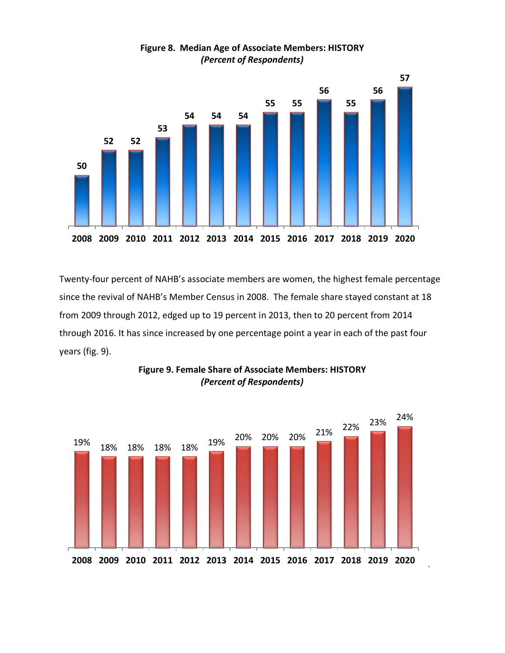

Twenty-four percent of NAHB's associate members are women, the highest female percentage since the revival of NAHB's Member Census in 2008. The female share stayed constant at 18 from 2009 through 2012, edged up to 19 percent in 2013, then to 20 percent from 2014 through 2016. It has since increased by one percentage point a year in each of the past four years (fig. 9).



**Figure 9. Female Share of Associate Members: HISTORY** *(Percent of Respondents)*

**Figure 8. Median Age of Associate Members: HISTORY** *(Percent of Respondents)*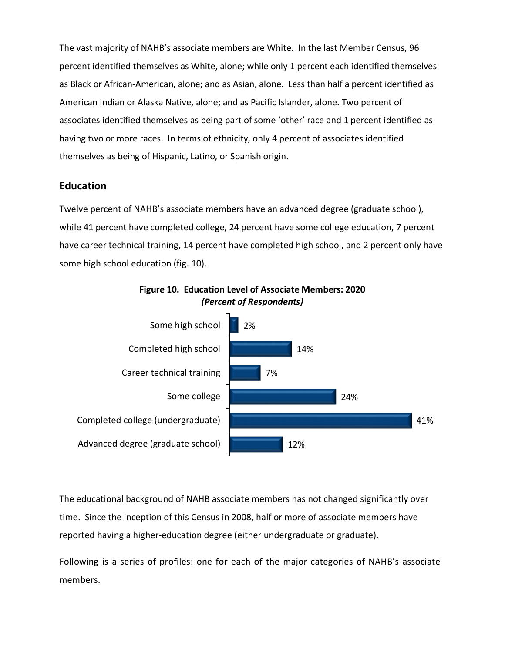The vast majority of NAHB's associate members are White. In the last Member Census, 96 percent identified themselves as White, alone; while only 1 percent each identified themselves as Black or African-American, alone; and as Asian, alone. Less than half a percent identified as American Indian or Alaska Native, alone; and as Pacific Islander, alone. Two percent of associates identified themselves as being part of some 'other' race and 1 percent identified as having two or more races. In terms of ethnicity, only 4 percent of associates identified themselves as being of Hispanic, Latino, or Spanish origin.

#### **Education**

Twelve percent of NAHB's associate members have an advanced degree (graduate school), while 41 percent have completed college, 24 percent have some college education, 7 percent have career technical training, 14 percent have completed high school, and 2 percent only have some high school education (fig. 10).



**Figure 10. Education Level of Associate Members: 2020** *(Percent of Respondents)*

The educational background of NAHB associate members has not changed significantly over time. Since the inception of this Census in 2008, half or more of associate members have reported having a higher-education degree (either undergraduate or graduate).

Following is a series of profiles: one for each of the major categories of NAHB's associate members.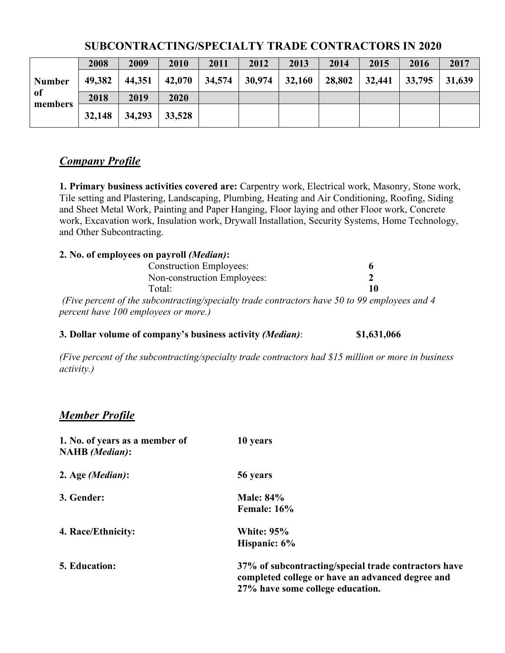|                                | 2008   | 2009   | 2010   | 2011   | 2012   | 2013   | 2014   | 2015   | 2016   | 2017   |
|--------------------------------|--------|--------|--------|--------|--------|--------|--------|--------|--------|--------|
| <b>Number</b><br>of<br>members | 49,382 | 44,351 | 42,070 | 34,574 | 30,974 | 32,160 | 28,802 | 32,441 | 33,795 | 31,639 |
|                                | 2018   | 2019   | 2020   |        |        |        |        |        |        |        |
|                                | 32,148 | 34,293 | 33,528 |        |        |        |        |        |        |        |

## **SUBCONTRACTING/SPECIALTY TRADE CONTRACTORS IN 2020**

## *Company Profile*

**1. Primary business activities covered are:** Carpentry work, Electrical work, Masonry, Stone work, Tile setting and Plastering, Landscaping, Plumbing, Heating and Air Conditioning, Roofing, Siding and Sheet Metal Work, Painting and Paper Hanging, Floor laying and other Floor work, Concrete work, Excavation work, Insulation work, Drywall Installation, Security Systems, Home Technology, and Other Subcontracting.

#### **2. No. of employees on payroll** *(Median)***:**

| <b>Construction Employees:</b>                                                                                |  |
|---------------------------------------------------------------------------------------------------------------|--|
| Non-construction Employees:                                                                                   |  |
| Total:                                                                                                        |  |
| . . In case, we have been contained as a sequence of the set of $\alpha$ , $\alpha$ and $\alpha$ and $\alpha$ |  |

*(Five percent of the subcontracting/specialty trade contractors have 50 to 99 employees and 4 percent have 100 employees or more.)*

|  |  |  | 3. Dollar volume of company's business activity (Median): |  | \$1,631,066 |
|--|--|--|-----------------------------------------------------------|--|-------------|
|--|--|--|-----------------------------------------------------------|--|-------------|

*(Five percent of the subcontracting/specialty trade contractors had \$15 million or more in business activity.)*

## *<sup>U</sup>Member Profile*

| 1. No. of years as a member of<br><b>NAHB</b> ( <i>Median</i> ): | 10 years                                                                                                                                     |
|------------------------------------------------------------------|----------------------------------------------------------------------------------------------------------------------------------------------|
| 2. Age $(Median)$ :                                              | 56 years                                                                                                                                     |
| 3. Gender:                                                       | <b>Male: 84%</b><br>Female: 16%                                                                                                              |
| 4. Race/Ethnicity:                                               | <b>White: 95%</b><br>Hispanic: 6%                                                                                                            |
| <b>5. Education:</b>                                             | 37% of subcontracting/special trade contractors have<br>completed college or have an advanced degree and<br>27% have some college education. |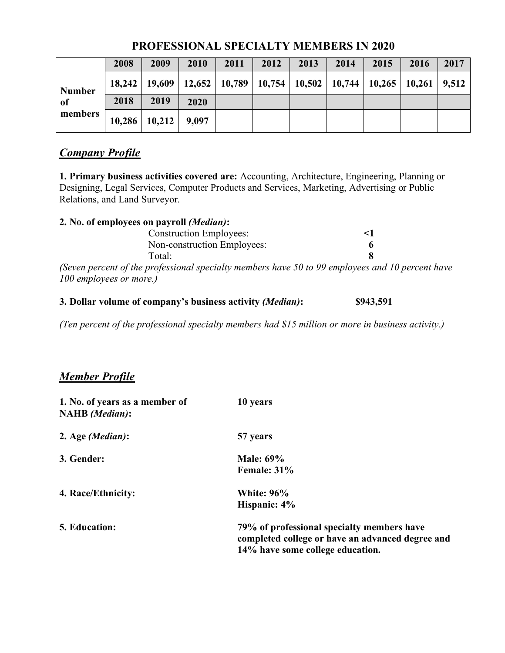|               | 2008 | 2009                                                                                     | 2010  | 2011 | 2012 | 2013 | 2014 | 2015 | 2016 | 2017 |
|---------------|------|------------------------------------------------------------------------------------------|-------|------|------|------|------|------|------|------|
| <b>Number</b> |      | $18,242$   19,609   12,652   10,789   10,754   10,502   10,744   10,265   10,261   9,512 |       |      |      |      |      |      |      |      |
| of            | 2018 | 2019                                                                                     | 2020  |      |      |      |      |      |      |      |
| members       |      | $10,286$   10,212                                                                        | 9,097 |      |      |      |      |      |      |      |

### **PROFESSIONAL SPECIALTY MEMBERS IN 2020**

## **Company Profile**

**1. Primary business activities covered are:** Accounting, Architecture, Engineering, Planning or Designing, Legal Services, Computer Products and Services, Marketing, Advertising or Public Relations, and Land Surveyor.

#### **2. No. of employees on payroll** *(Median)***:**

| <b>Construction Employees:</b> | $\leq$ |
|--------------------------------|--------|
| Non-construction Employees:    |        |
| Total:                         |        |

*(Seven percent of the professional specialty members have 50 to 99 employees and 10 percent have 100 employees or more.)*

#### **3. Dollar volume of company's business activity** *(Median)***: \$943,591**

*(Ten percent of the professional specialty members had \$15 million or more in business activity.)*

### *<sup>U</sup>Member Profile*

| 1. No. of years as a member of<br><b>NAHB</b> (Median): | 10 years                                                                                                                           |
|---------------------------------------------------------|------------------------------------------------------------------------------------------------------------------------------------|
| 2. Age $(Median)$ :                                     | 57 years                                                                                                                           |
| 3. Gender:                                              | <b>Male: 69%</b>                                                                                                                   |
|                                                         | Female: 31%                                                                                                                        |
| 4. Race/Ethnicity:                                      | <b>White: 96%</b>                                                                                                                  |
|                                                         | Hispanic: 4%                                                                                                                       |
| <b>5. Education:</b>                                    | 79% of professional specialty members have<br>completed college or have an advanced degree and<br>14% have some college education. |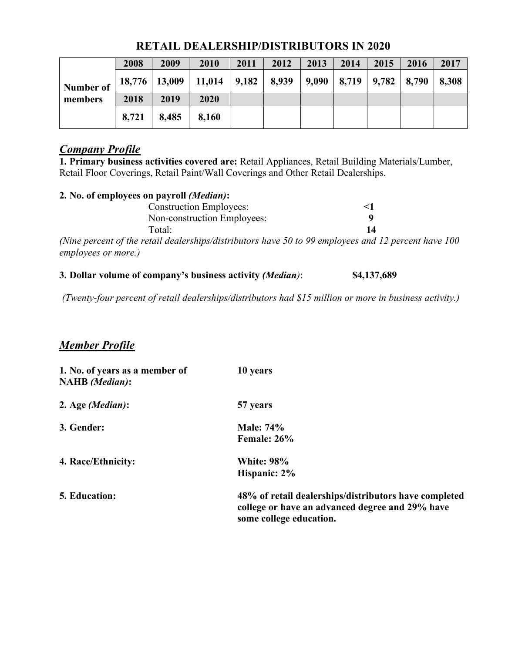| Number of | 2008  | 2009  | 2010                                       | 2011 | 2012 | 2013 | 2014 | 2015 | 2016                                                          | 2017 |
|-----------|-------|-------|--------------------------------------------|------|------|------|------|------|---------------------------------------------------------------|------|
|           |       |       | $18,776$   13,009   11,014   9,182   8,939 |      |      |      |      |      | $\vert 9,090 \vert 8,719 \vert 9,782 \vert 8,790 \vert 8,308$ |      |
| members   | 2018  | 2019  | 2020                                       |      |      |      |      |      |                                                               |      |
|           | 8,721 | 8,485 | 8,160                                      |      |      |      |      |      |                                                               |      |

**RETAIL DEALERSHIP/DISTRIBUTORS IN 2020**

# *<sup>U</sup>Company Profile*

**1. Primary business activities covered are:** Retail Appliances, Retail Building Materials/Lumber, Retail Floor Coverings, Retail Paint/Wall Coverings and Other Retail Dealerships.

| 2. No. of employees on payroll <i>(Median)</i> :                                                                            |    |
|-----------------------------------------------------------------------------------------------------------------------------|----|
| <b>Construction Employees:</b>                                                                                              | <1 |
| Non-construction Employees:                                                                                                 | g  |
| Total:                                                                                                                      | 14 |
| (Nine percent of the retail dealerships/distributors have 50 to 99 employees and 12 percent have 100<br>employees or more.) |    |

**3. Dollar volume of company's business activity** *(Median)*: **\$4,137,689**

*(Twenty-four percent of retail dealerships/distributors had \$15 million or more in business activity.)*

## *<sup>U</sup>Member Profile*

| 1. No. of years as a member of<br><b>NAHB</b> ( <i>Median</i> ): | 10 years                                                                                                                            |
|------------------------------------------------------------------|-------------------------------------------------------------------------------------------------------------------------------------|
| 2. Age $(Median)$ :                                              | 57 years                                                                                                                            |
| 3. Gender:                                                       | <b>Male: 74%</b><br>Female: 26%                                                                                                     |
| 4. Race/Ethnicity:                                               | <b>White: 98%</b><br>Hispanic: 2%                                                                                                   |
| <b>5. Education:</b>                                             | 48% of retail dealerships/distributors have completed<br>college or have an advanced degree and 29% have<br>some college education. |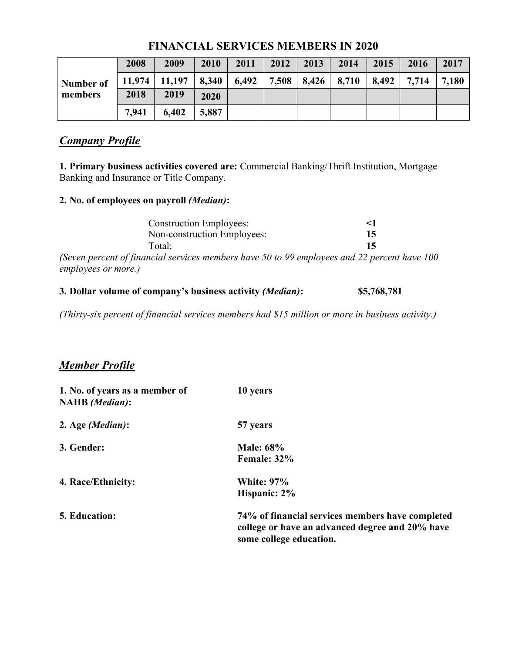|                      | 2008  | 2009                | 2010  | 2011  | 2012 | 2013                    | 2014 | 2015  | 2016  | 2017  |
|----------------------|-------|---------------------|-------|-------|------|-------------------------|------|-------|-------|-------|
| Number of<br>members |       | $11,974$   $11,197$ | 8,340 | 6,492 |      | $7,508$   8,426   8,710 |      | 8,492 | 7,714 | 7,180 |
|                      | 2018  | 2019                | 2020  |       |      |                         |      |       |       |       |
|                      | 7,941 | 6,402               | 5,887 |       |      |                         |      |       |       |       |

#### **FINANCIAL SERVICES MEMBERS IN 2020**

### **Company Profile**

**1. Primary business activities covered are:** Commercial Banking/Thrift Institution, Mortgage Banking and Insurance or Title Company.

#### **2. No. of employees on payroll** *(Median)***:**

| <b>Construction Employees:</b> | <1 |
|--------------------------------|----|
| Non-construction Employees:    | 15 |
| Total:                         | 15 |

*(Seven percent of financial services members have 50 to 99 employees and 22 percent have 100 employees or more.)*

|  | 3. Dollar volume of company's business activity (Median): | \$5,768,781 |
|--|-----------------------------------------------------------|-------------|
|  |                                                           |             |

*(Thirty-six percent of financial services members had \$15 million or more in business activity.)*

## *Member Profile*

| 1. No. of years as a member of<br><b>NAHB</b> (Median): | 10 years                                                                                                                       |
|---------------------------------------------------------|--------------------------------------------------------------------------------------------------------------------------------|
| 2. Age $(Median)$ :                                     | 57 years                                                                                                                       |
| 3. Gender:                                              | <b>Male: 68%</b><br>Female: 32%                                                                                                |
| 4. Race/Ethnicity:                                      | <b>White: 97%</b><br>Hispanic: 2%                                                                                              |
| <b>5. Education:</b>                                    | 74% of financial services members have completed<br>college or have an advanced degree and 20% have<br>some college education. |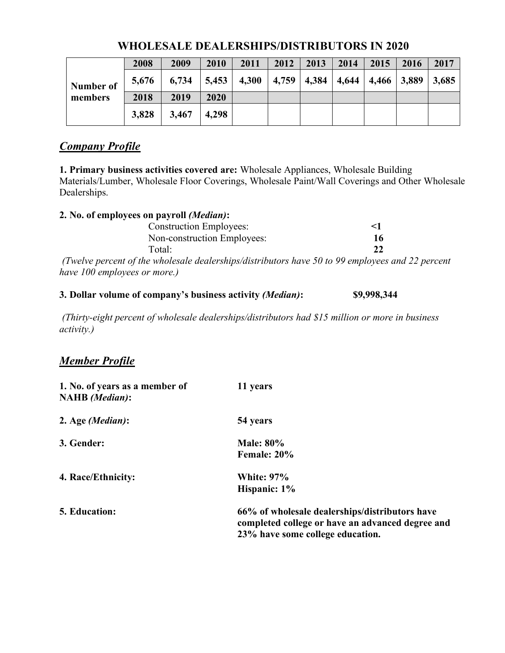|           | 2008  | 2009  | 2010  | 2011  | 2012 | 2013                                  | 2014 | 2015 | 2016 | 2017  |
|-----------|-------|-------|-------|-------|------|---------------------------------------|------|------|------|-------|
| Number of | 5,676 | 6,734 | 5,453 | 4,300 |      | 4,759   4,384   4,644   4,466   3,889 |      |      |      | 3,685 |
| members   | 2018  | 2019  | 2020  |       |      |                                       |      |      |      |       |
|           | 3,828 | 3,467 | 4,298 |       |      |                                       |      |      |      |       |

### **WHOLESALE DEALERSHIPS/DISTRIBUTORS IN 2020**

## **Company Profile**

**1. Primary business activities covered are:** Wholesale Appliances, Wholesale Building Materials/Lumber, Wholesale Floor Coverings, Wholesale Paint/Wall Coverings and Other Wholesale Dealerships.

#### **2. No. of employees on payroll** *(Median)***:**

| <b>Construction Employees:</b> | <1 |
|--------------------------------|----|
| Non-construction Employees:    | 16 |
| Total:                         | 22 |

*(Twelve percent of the wholesale dealerships/distributors have 50 to 99 employees and 22 percent have 100 employees or more.)*

### **3. Dollar volume of company's business activity** *(Median)***: \$9,998,344**

*(Thirty-eight percent of wholesale dealerships/distributors had \$15 million or more in business activity.)*

## *Member Profile*

| 1. No. of years as a member of<br><b>NAHB</b> (Median): | 11 years                                                                                                                               |
|---------------------------------------------------------|----------------------------------------------------------------------------------------------------------------------------------------|
| 2. Age $(Median)$ :                                     | 54 years                                                                                                                               |
| 3. Gender:                                              | <b>Male: 80%</b><br>Female: 20%                                                                                                        |
| 4. Race/Ethnicity:                                      | <b>White: 97%</b><br>Hispanic: 1%                                                                                                      |
| <b>5. Education:</b>                                    | 66% of wholesale dealerships/distributors have<br>completed college or have an advanced degree and<br>23% have some college education. |